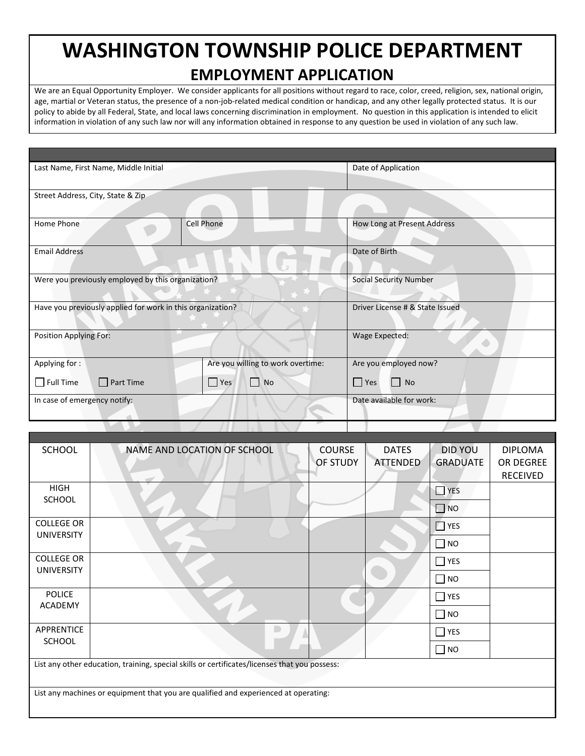## **WASHINGTON TOWNSHIP POLICE DEPARTMENT EMPLOYMENT APPLICATION**

We are an Equal Opportunity Employer. We consider applicants for all positions without regard to race, color, creed, religion, sex, national origin, age, martial or Veteran status, the presence of a non-job-related medical condition or handicap, and any other legally protected status. It is our policy to abide by all Federal, State, and local laws concerning discrimination in employment. No question in this application is intended to elicit information in violation of any such law nor will any information obtained in response to any question be used in violation of any such law.

| Last Name, First Name, Middle Initial              |                                                            |                                   | Date of Application           |  |  |
|----------------------------------------------------|------------------------------------------------------------|-----------------------------------|-------------------------------|--|--|
|                                                    |                                                            |                                   |                               |  |  |
| Street Address, City, State & Zip                  |                                                            |                                   |                               |  |  |
|                                                    |                                                            |                                   |                               |  |  |
| Home Phone                                         |                                                            | <b>Cell Phone</b>                 | How Long at Present Address   |  |  |
|                                                    |                                                            |                                   |                               |  |  |
| <b>Email Address</b>                               |                                                            |                                   | Date of Birth                 |  |  |
|                                                    |                                                            |                                   |                               |  |  |
|                                                    |                                                            |                                   |                               |  |  |
| Were you previously employed by this organization? |                                                            |                                   | <b>Social Security Number</b> |  |  |
|                                                    |                                                            |                                   |                               |  |  |
|                                                    | Have you previously applied for work in this organization? | Driver License # & State Issued   |                               |  |  |
|                                                    |                                                            |                                   |                               |  |  |
| Position Applying For:                             |                                                            |                                   | Wage Expected:                |  |  |
|                                                    |                                                            |                                   |                               |  |  |
| Applying for:                                      |                                                            | Are you willing to work overtime: | Are you employed now?         |  |  |
| $\Box$ Full Time                                   | $\Box$ Part Time                                           | $\Box$ No<br>$\Box$ Yes           | $\Box$ Yes<br><b>No</b>       |  |  |
|                                                    |                                                            |                                   |                               |  |  |
| In case of emergency notify:                       |                                                            | Date available for work:          |                               |  |  |
|                                                    |                                                            |                                   |                               |  |  |
|                                                    |                                                            |                                   |                               |  |  |

| <b>SCHOOL</b>                                                                                 | NAME AND LOCATION OF SCHOOL | <b>COURSE</b>   | <b>DATES</b>    | DID YOU            | <b>DIPLOMA</b>  |  |  |  |
|-----------------------------------------------------------------------------------------------|-----------------------------|-----------------|-----------------|--------------------|-----------------|--|--|--|
|                                                                                               |                             | <b>OF STUDY</b> | <b>ATTENDED</b> | <b>GRADUATE</b>    | OR DEGREE       |  |  |  |
|                                                                                               |                             |                 |                 |                    | <b>RECEIVED</b> |  |  |  |
| <b>HIGH</b>                                                                                   |                             |                 |                 | $\blacksquare$ YES |                 |  |  |  |
| <b>SCHOOL</b>                                                                                 |                             |                 |                 | $\blacksquare$ NO  |                 |  |  |  |
| <b>COLLEGE OR</b>                                                                             |                             |                 |                 | $\Box$ YES         |                 |  |  |  |
| <b>UNIVERSITY</b>                                                                             |                             |                 |                 | $\Box$ NO          |                 |  |  |  |
| <b>COLLEGE OR</b>                                                                             |                             |                 |                 | <b>YES</b>         |                 |  |  |  |
| <b>UNIVERSITY</b>                                                                             |                             |                 |                 | $\Box$ NO          |                 |  |  |  |
| <b>POLICE</b>                                                                                 |                             |                 |                 | $\Box$ YES         |                 |  |  |  |
| <b>ACADEMY</b>                                                                                |                             |                 |                 | $\Box$ NO          |                 |  |  |  |
| APPRENTICE                                                                                    |                             |                 |                 | $\Box$ YES         |                 |  |  |  |
| <b>SCHOOL</b>                                                                                 |                             |                 |                 | $\square$ NO       |                 |  |  |  |
| List any other education, training, special skills or certificates/licenses that you possess: |                             |                 |                 |                    |                 |  |  |  |
|                                                                                               |                             |                 |                 |                    |                 |  |  |  |
| List any machines or equipment that you are qualified and experienced at operating:           |                             |                 |                 |                    |                 |  |  |  |
|                                                                                               |                             |                 |                 |                    |                 |  |  |  |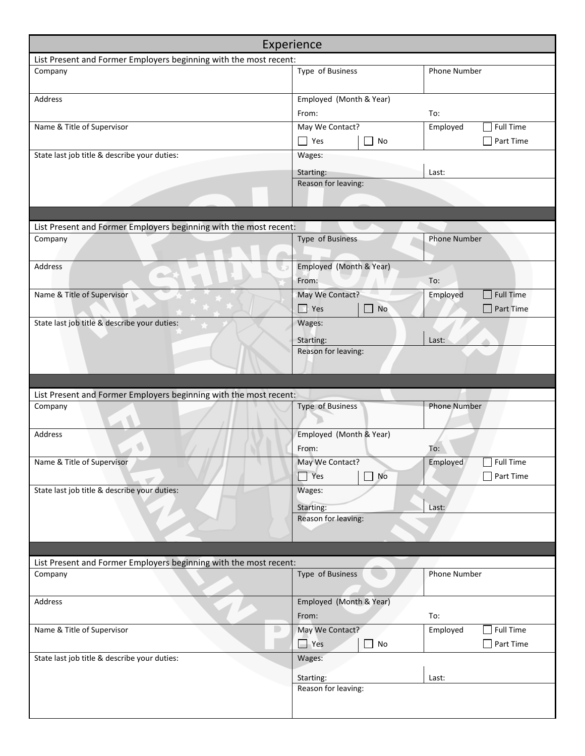| Experience                                                        |                             |                              |  |  |  |  |
|-------------------------------------------------------------------|-----------------------------|------------------------------|--|--|--|--|
| List Present and Former Employers beginning with the most recent: |                             |                              |  |  |  |  |
| Company                                                           | Type of Business            | <b>Phone Number</b>          |  |  |  |  |
| Address                                                           | Employed (Month & Year)     |                              |  |  |  |  |
|                                                                   | From:                       | To:                          |  |  |  |  |
| Name & Title of Supervisor                                        | May We Contact?             | <b>Full Time</b><br>Employed |  |  |  |  |
|                                                                   | $\Box$ Yes<br>No            | Part Time                    |  |  |  |  |
| State last job title & describe your duties:                      | Wages:                      |                              |  |  |  |  |
|                                                                   | Starting:                   | Last:                        |  |  |  |  |
|                                                                   | Reason for leaving:         |                              |  |  |  |  |
|                                                                   |                             |                              |  |  |  |  |
|                                                                   |                             |                              |  |  |  |  |
| List Present and Former Employers beginning with the most recent: |                             |                              |  |  |  |  |
| Company                                                           | Type of Business            | <b>Phone Number</b>          |  |  |  |  |
| Address                                                           | Employed (Month & Year)     |                              |  |  |  |  |
| $\sim$                                                            | From:                       | To:                          |  |  |  |  |
| Name & Title of Supervisor                                        | May We Contact?             | <b>Full Time</b><br>Employed |  |  |  |  |
|                                                                   | Yes<br>No<br>$\blacksquare$ | Part Time                    |  |  |  |  |
| State last job title & describe your duties:                      | Wages:                      |                              |  |  |  |  |
|                                                                   | Starting:                   | Last:                        |  |  |  |  |
|                                                                   | Reason for leaving:         |                              |  |  |  |  |
|                                                                   |                             |                              |  |  |  |  |
|                                                                   |                             |                              |  |  |  |  |
| List Present and Former Employers beginning with the most recent: |                             |                              |  |  |  |  |
| Company                                                           | Type of Business            | <b>Phone Number</b>          |  |  |  |  |
|                                                                   |                             |                              |  |  |  |  |
| Address                                                           | Employed (Month & Year)     |                              |  |  |  |  |
|                                                                   | From:                       | To:                          |  |  |  |  |
| Name & Title of Supervisor                                        | May We Contact?             | $\Box$ Full Time<br>Employed |  |  |  |  |
|                                                                   | $\Box$ Yes<br>No            | $\Box$ Part Time             |  |  |  |  |
| State last job title & describe your duties:                      | Wages:                      |                              |  |  |  |  |
|                                                                   | Starting:                   | Last:                        |  |  |  |  |
|                                                                   | Reason for leaving:         |                              |  |  |  |  |
|                                                                   |                             |                              |  |  |  |  |
|                                                                   |                             |                              |  |  |  |  |
| List Present and Former Employers beginning with the most recent: |                             |                              |  |  |  |  |
| Company                                                           | Type of Business            | <b>Phone Number</b>          |  |  |  |  |
| Address                                                           | Employed (Month & Year)     |                              |  |  |  |  |
|                                                                   | From:                       | To:                          |  |  |  |  |
| Name & Title of Supervisor                                        | May We Contact?             | <b>Full Time</b><br>Employed |  |  |  |  |
|                                                                   | $\Box$ Yes<br>No            | Part Time                    |  |  |  |  |
| State last job title & describe your duties:                      | Wages:                      |                              |  |  |  |  |
|                                                                   | Starting:                   | Last:                        |  |  |  |  |
|                                                                   | Reason for leaving:         |                              |  |  |  |  |
|                                                                   |                             |                              |  |  |  |  |